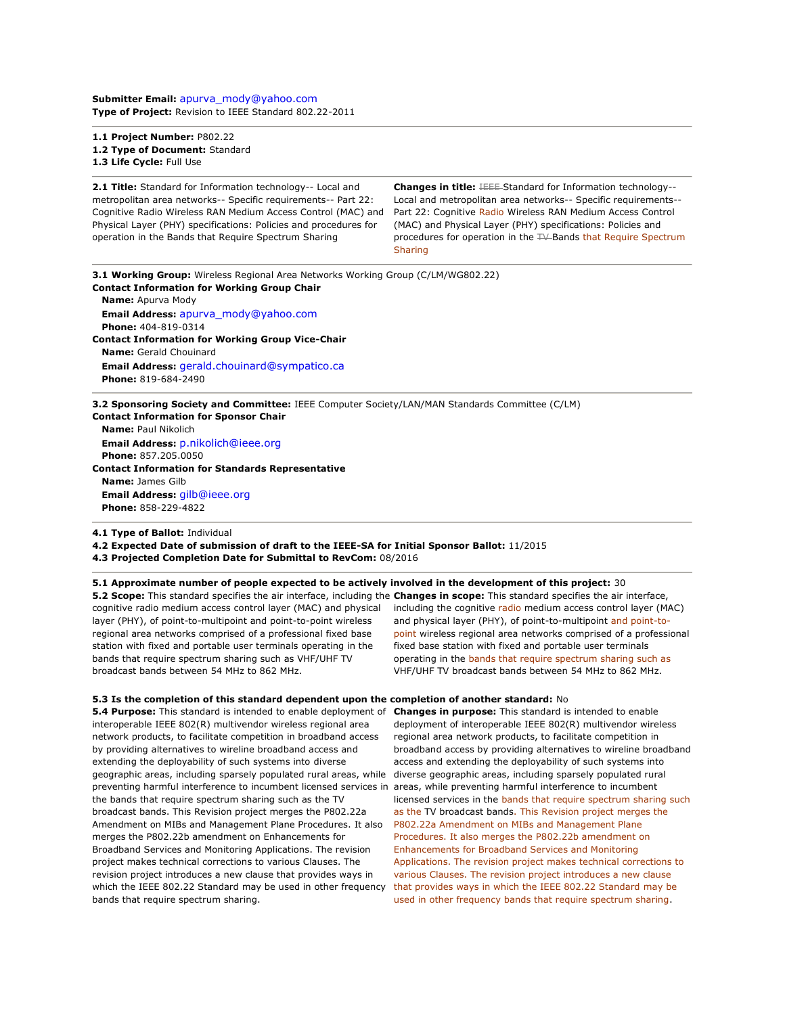**Submitter Email:** [apurva\\_mody@yahoo.com](mailto:apurva_mody%40yahoo.com) **Type of Project:** Revision to IEEE Standard 802.22-2011

**1.1 Project Number:** P802.22 **1.2 Type of Document:** Standard **1.3 Life Cycle:** Full Use

**2.1 Title:** Standard for Information technology-- Local and metropolitan area networks-- Specific requirements-- Part 22: Cognitive Radio Wireless RAN Medium Access Control (MAC) and Physical Layer (PHY) specifications: Policies and procedures for operation in the Bands that Require Spectrum Sharing

**Changes in title: <b>IEEE** Standard for Information technology--Local and metropolitan area networks-- Specific requirements-- Part 22: Cognitive Radio Wireless RAN Medium Access Control (MAC) and Physical Layer (PHY) specifications: Policies and procedures for operation in the TV-Bands that Require Spectrum **Sharing** 

**3.1 Working Group:** Wireless Regional Area Networks Working Group (C/LM/WG802.22) **Contact Information for Working Group Chair Name:** Apurva Mody **Email Address:** [apurva\\_mody@yahoo.com](mailto:apurva_mody%40yahoo.com) **Phone:** 404-819-0314 **Contact Information for Working Group Vice-Chair Name:** Gerald Chouinard **Email Address:** [gerald.chouinard@sympatico.ca](mailto:gerald.chouinard%40sympatico.ca) **Phone:** 819-684-2490 **3.2 Sponsoring Society and Committee:** IEEE Computer Society/LAN/MAN Standards Committee (C/LM) **Contact Information for Sponsor Chair**

 **Name:** Paul Nikolich **Email Address:** [p.nikolich@ieee.org](mailto:p.nikolich%40ieee.org) **Phone:** 857.205.0050 **Contact Information for Standards Representative Name:** James Gilb **Email Address:** [gilb@ieee.org](mailto:gilb%40ieee.org) **Phone:** 858-229-4822

**4.1 Type of Ballot:** Individual

**4.2 Expected Date of submission of draft to the IEEE-SA for Initial Sponsor Ballot:** 11/2015

**4.3 Projected Completion Date for Submittal to RevCom:** 08/2016

**5.1 Approximate number of people expected to be actively involved in the development of this project:** 30

layer (PHY), of point-to-multipoint and point-to-point wireless regional area networks comprised of a professional fixed base station with fixed and portable user terminals operating in the bands that require spectrum sharing such as VHF/UHF TV broadcast bands between 54 MHz to 862 MHz.

**5.2 Scope:** This standard specifies the air interface, including the **Changes in scope:** This standard specifies the air interface, cognitive radio medium access control layer (MAC) and physical including the cognitive radio medium access control layer (MAC) and physical layer (PHY), of point-to-multipoint and point-topoint wireless regional area networks comprised of a professional fixed base station with fixed and portable user terminals operating in the bands that require spectrum sharing such as VHF/UHF TV broadcast bands between 54 MHz to 862 MHz.

**5.3 Is the completion of this standard dependent upon the completion of another standard:** No

**5.4 Purpose:** This standard is intended to enable deployment of interoperable IEEE 802(R) multivendor wireless regional area network products, to facilitate competition in broadband access by providing alternatives to wireline broadband access and extending the deployability of such systems into diverse geographic areas, including sparsely populated rural areas, while diverse geographic areas, including sparsely populated rural preventing harmful interference to incumbent licensed services in the bands that require spectrum sharing such as the TV broadcast bands. This Revision project merges the P802.22a Amendment on MIBs and Management Plane Procedures. It also merges the P802.22b amendment on Enhancements for Broadband Services and Monitoring Applications. The revision project makes technical corrections to various Clauses. The revision project introduces a new clause that provides ways in which the IEEE 802.22 Standard may be used in other frequency bands that require spectrum sharing.

**Changes in purpose:** This standard is intended to enable deployment of interoperable IEEE 802(R) multivendor wireless regional area network products, to facilitate competition in broadband access by providing alternatives to wireline broadband access and extending the deployability of such systems into areas, while preventing harmful interference to incumbent licensed services in the bands that require spectrum sharing such as the TV broadcast bands. This Revision project merges the P802.22a Amendment on MIBs and Management Plane Procedures. It also merges the P802.22b amendment on Enhancements for Broadband Services and Monitoring Applications. The revision project makes technical corrections to various Clauses. The revision project introduces a new clause that provides ways in which the IEEE 802.22 Standard may be used in other frequency bands that require spectrum sharing.